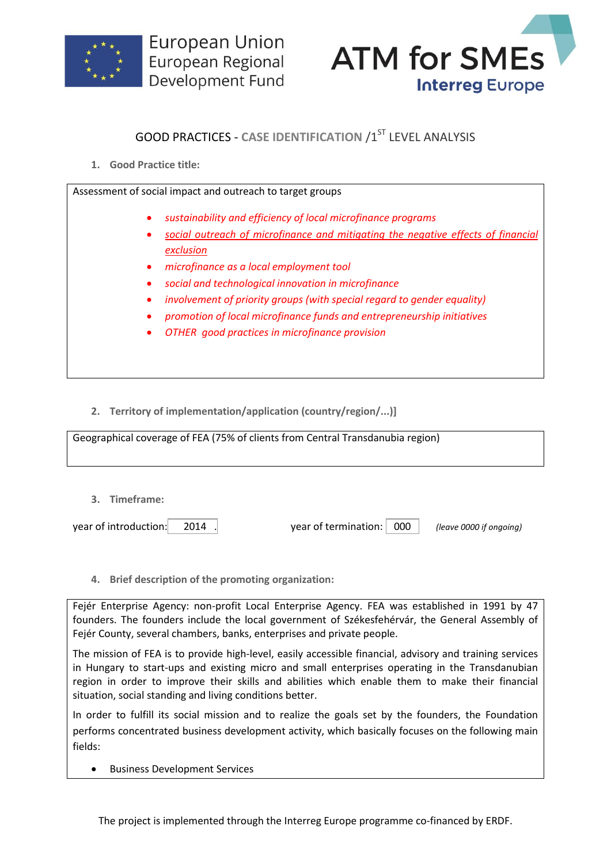



## **GOOD PRACTICES - CASE IDENTIFICATION /1ST LEVEL ANALYSIS**

**1. Good Practice title:**

Assessment of social impact and outreach to target groups

- *sustainability and efficiency of local microfinance programs*
- *social outreach of microfinance and mitigating the negative effects of financial exclusion*
- *microfinance as a local employment tool*
- *social and technological innovation in microfinance*
- *involvement of priority groups (with special regard to gender equality)*
- *promotion of local microfinance funds and entrepreneurship initiatives*
- *OTHER good practices in microfinance provision*

**2. Territory of implementation/application (country/region/...)]**

Geographical coverage of FEA (75% of clients from Central Transdanubia region)

**3. Timeframe:**

year of introduction: 2014 . year of termination: 000 *(leave 0000 if ongoing)*

**4. Brief description of the promoting organization:**

Fejér Enterprise Agency: non-profit Local Enterprise Agency. FEA was established in 1991 by 47 founders. The founders include the local government of Székesfehérvár, the General Assembly of Fejér County, several chambers, banks, enterprises and private people.

The mission of FEA is to provide high-level, easily accessible financial, advisory and training services in Hungary to start-ups and existing micro and small enterprises operating in the Transdanubian region in order to improve their skills and abilities which enable them to make their financial situation, social standing and living conditions better.

In order to fulfill its social mission and to realize the goals set by the founders, the Foundation performs concentrated business development activity, which basically focuses on the following main fields:

Business Development Services

The project is implemented through the Interreg Europe programme co-financed by ERDF.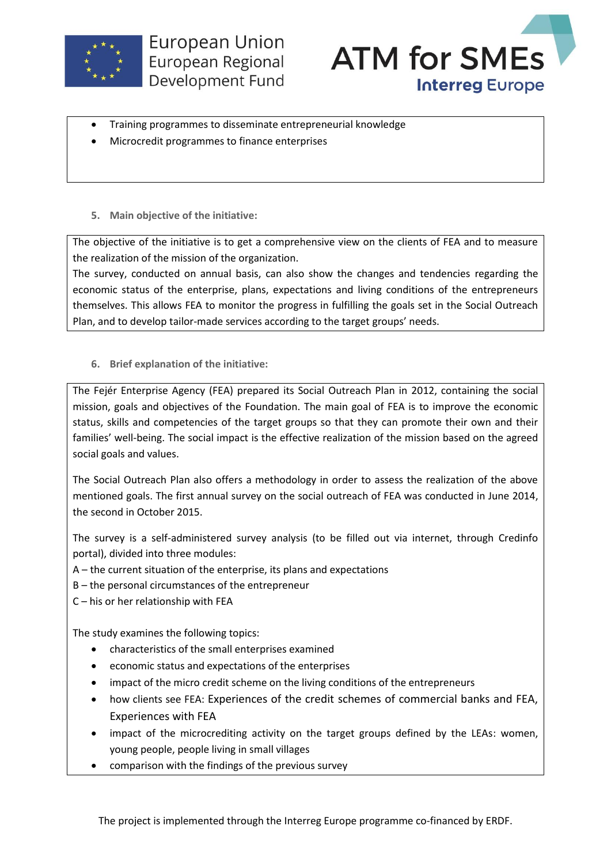



- Training programmes to disseminate entrepreneurial knowledge
- Microcredit programmes to finance enterprises
- **5. Main objective of the initiative:**

The objective of the initiative is to get a comprehensive view on the clients of FEA and to measure the realization of the mission of the organization.

The survey, conducted on annual basis, can also show the changes and tendencies regarding the economic status of the enterprise, plans, expectations and living conditions of the entrepreneurs themselves. This allows FEA to monitor the progress in fulfilling the goals set in the Social Outreach Plan, and to develop tailor-made services according to the target groups' needs.

**6. Brief explanation of the initiative:**

The Fejér Enterprise Agency (FEA) prepared its Social Outreach Plan in 2012, containing the social mission, goals and objectives of the Foundation. The main goal of FEA is to improve the economic status, skills and competencies of the target groups so that they can promote their own and their families' well-being. The social impact is the effective realization of the mission based on the agreed social goals and values.

The Social Outreach Plan also offers a methodology in order to assess the realization of the above mentioned goals. The first annual survey on the social outreach of FEA was conducted in June 2014, the second in October 2015.

The survey is a self-administered survey analysis (to be filled out via internet, through Credinfo portal), divided into three modules:

- A the current situation of the enterprise, its plans and expectations
- B the personal circumstances of the entrepreneur
- C his or her relationship with FEA

The study examines the following topics:

- characteristics of the small enterprises examined
- economic status and expectations of the enterprises
- impact of the micro credit scheme on the living conditions of the entrepreneurs
- how clients see FEA: Experiences of the credit schemes of commercial banks and FEA, Experiences with FEA
- impact of the microcrediting activity on the target groups defined by the LEAs: women, young people, people living in small villages
- comparison with the findings of the previous survey